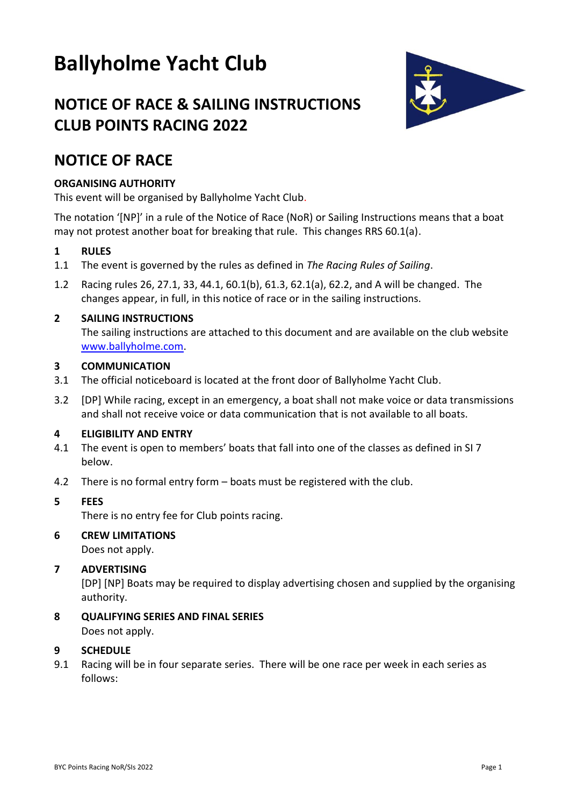# **Ballyholme Yacht Club**



## **NOTICE OF RACE & SAILING INSTRUCTIONS CLUB POINTS RACING 2022**

## **NOTICE OF RACE**

## **ORGANISING AUTHORITY**

This event will be organised by Ballyholme Yacht Club.

The notation '[NP]' in a rule of the Notice of Race (NoR) or Sailing Instructions means that a boat may not protest another boat for breaking that rule. This changes RRS 60.1(a).

## **1 RULES**

- 1.1 The event is governed by the rules as defined in *The Racing Rules of Sailing*.
- 1.2 Racing rules 26, 27.1, 33, 44.1, 60.1(b), 61.3, 62.1(a), 62.2, and A will be changed. The changes appear, in full, in this notice of race or in the sailing instructions.

## **2 SAILING INSTRUCTIONS**

The sailing instructions are attached to this document and are available on the club website [www.ballyholme.com.](http://www.ballyholme.com/)

## **3 COMMUNICATION**

- 3.1 The official noticeboard is located at the front door of Ballyholme Yacht Club.
- 3.2 [DP] While racing, except in an emergency, a boat shall not make voice or data transmissions and shall not receive voice or data communication that is not available to all boats.

## **4 ELIGIBILITY AND ENTRY**

- 4.1 The event is open to members' boats that fall into one of the classes as defined in SI 7 below.
- 4.2 There is no formal entry form boats must be registered with the club.

## **5 FEES**

There is no entry fee for Club points racing.

## **6 CREW LIMITATIONS**

Does not apply.

## **7 ADVERTISING**

[DP] [NP] Boats may be required to display advertising chosen and supplied by the organising authority.

**8 QUALIFYING SERIES AND FINAL SERIES** Does not apply.

#### **9 SCHEDULE**

9.1 Racing will be in four separate series. There will be one race per week in each series as follows: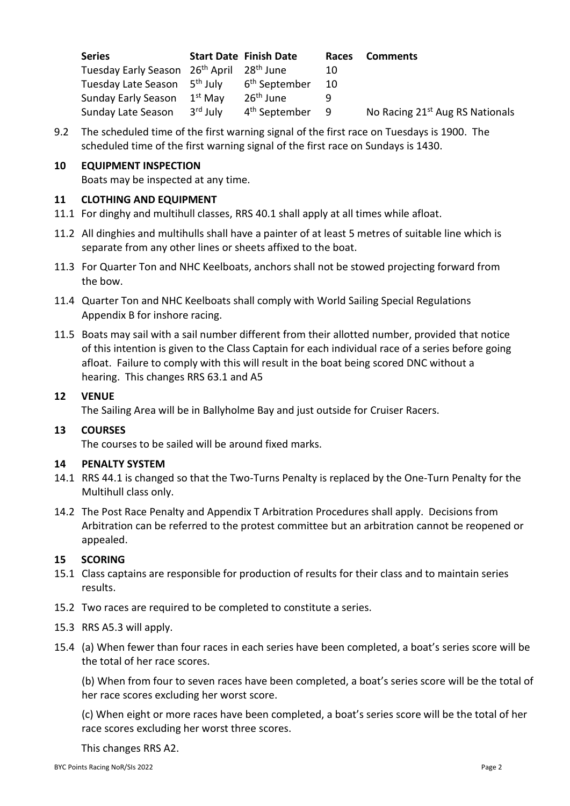| <b>Series</b>                                                     |                      | <b>Start Date Finish Date</b> | Races | <b>Comments</b>                             |
|-------------------------------------------------------------------|----------------------|-------------------------------|-------|---------------------------------------------|
| Tuesday Early Season 26 <sup>th</sup> April 28 <sup>th</sup> June |                      |                               | 10    |                                             |
| Tuesday Late Season 5 <sup>th</sup> July                          |                      | 6 <sup>th</sup> September     | -10   |                                             |
| Sunday Early Season                                               | $1^{\rm st}$ Mav     | 26 <sup>th</sup> June         |       |                                             |
| Sunday Late Season                                                | 3 <sup>rd</sup> July | 4 <sup>th</sup> September     | - 9   | No Racing 21 <sup>st</sup> Aug RS Nationals |

9.2 The scheduled time of the first warning signal of the first race on Tuesdays is 1900. The scheduled time of the first warning signal of the first race on Sundays is 1430.

## **10 EQUIPMENT INSPECTION**

Boats may be inspected at any time.

### **11 CLOTHING AND EQUIPMENT**

- 11.1 For dinghy and multihull classes, RRS 40.1 shall apply at all times while afloat.
- 11.2 All dinghies and multihulls shall have a painter of at least 5 metres of suitable line which is separate from any other lines or sheets affixed to the boat.
- 11.3 For Quarter Ton and NHC Keelboats, anchors shall not be stowed projecting forward from the bow.
- 11.4 Quarter Ton and NHC Keelboats shall comply with World Sailing Special Regulations Appendix B for inshore racing.
- 11.5 Boats may sail with a sail number different from their allotted number, provided that notice of this intention is given to the Class Captain for each individual race of a series before going afloat. Failure to comply with this will result in the boat being scored DNC without a hearing. This changes RRS 63.1 and A5

#### **12 VENUE**

The Sailing Area will be in Ballyholme Bay and just outside for Cruiser Racers.

#### **13 COURSES**

The courses to be sailed will be around fixed marks.

#### **14 PENALTY SYSTEM**

- 14.1 RRS 44.1 is changed so that the Two-Turns Penalty is replaced by the One-Turn Penalty for the Multihull class only.
- 14.2 The Post Race Penalty and Appendix T Arbitration Procedures shall apply. Decisions from Arbitration can be referred to the protest committee but an arbitration cannot be reopened or appealed.

#### **15 SCORING**

- 15.1 Class captains are responsible for production of results for their class and to maintain series results.
- 15.2 Two races are required to be completed to constitute a series.
- 15.3 RRS A5.3 will apply.
- 15.4 (a) When fewer than four races in each series have been completed, a boat's series score will be the total of her race scores.

(b) When from four to seven races have been completed, a boat's series score will be the total of her race scores excluding her worst score.

(c) When eight or more races have been completed, a boat's series score will be the total of her race scores excluding her worst three scores.

#### This changes RRS A2.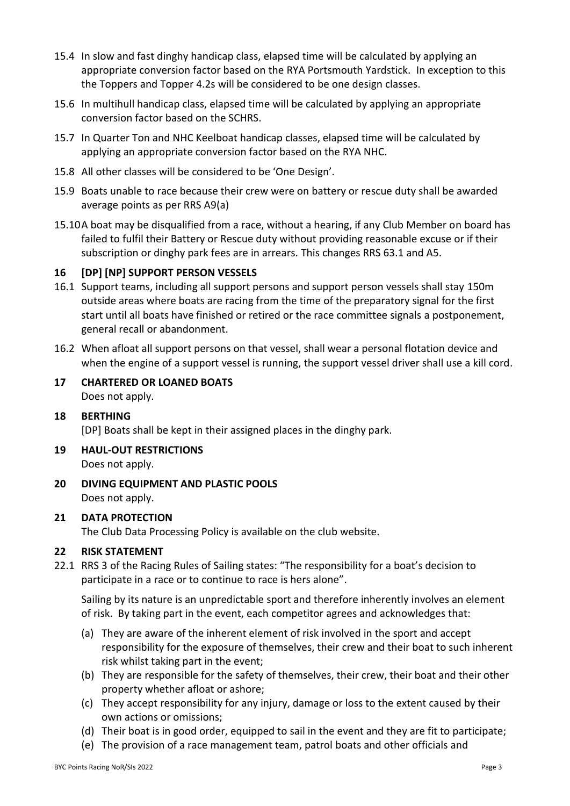- 15.4 In slow and fast dinghy handicap class, elapsed time will be calculated by applying an appropriate conversion factor based on the RYA Portsmouth Yardstick. In exception to this the Toppers and Topper 4.2s will be considered to be one design classes.
- 15.6 In multihull handicap class, elapsed time will be calculated by applying an appropriate conversion factor based on the SCHRS.
- 15.7 In Quarter Ton and NHC Keelboat handicap classes, elapsed time will be calculated by applying an appropriate conversion factor based on the RYA NHC.
- 15.8 All other classes will be considered to be 'One Design'.
- 15.9 Boats unable to race because their crew were on battery or rescue duty shall be awarded average points as per RRS A9(a)
- 15.10A boat may be disqualified from a race, without a hearing, if any Club Member on board has failed to fulfil their Battery or Rescue duty without providing reasonable excuse or if their subscription or dinghy park fees are in arrears. This changes RRS 63.1 and A5.

## **16 [DP] [NP] SUPPORT PERSON VESSELS**

- 16.1 Support teams, including all support persons and support person vessels shall stay 150m outside areas where boats are racing from the time of the preparatory signal for the first start until all boats have finished or retired or the race committee signals a postponement, general recall or abandonment.
- 16.2 When afloat all support persons on that vessel, shall wear a personal flotation device and when the engine of a support vessel is running, the support vessel driver shall use a kill cord.
- **17 CHARTERED OR LOANED BOATS** Does not apply.
- **18 BERTHING**

[DP] Boats shall be kept in their assigned places in the dinghy park.

- **19 HAUL-OUT RESTRICTIONS** Does not apply.
- **20 DIVING EQUIPMENT AND PLASTIC POOLS** Does not apply.

#### **21 DATA PROTECTION**

The Club Data Processing Policy is available on the club website.

#### **22 RISK STATEMENT**

22.1 RRS 3 of the Racing Rules of Sailing states: "The responsibility for a boat's decision to participate in a race or to continue to race is hers alone".

Sailing by its nature is an unpredictable sport and therefore inherently involves an element of risk. By taking part in the event, each competitor agrees and acknowledges that:

- (a) They are aware of the inherent element of risk involved in the sport and accept responsibility for the exposure of themselves, their crew and their boat to such inherent risk whilst taking part in the event;
- (b) They are responsible for the safety of themselves, their crew, their boat and their other property whether afloat or ashore;
- (c) They accept responsibility for any injury, damage or loss to the extent caused by their own actions or omissions;
- (d) Their boat is in good order, equipped to sail in the event and they are fit to participate;
- (e) The provision of a race management team, patrol boats and other officials and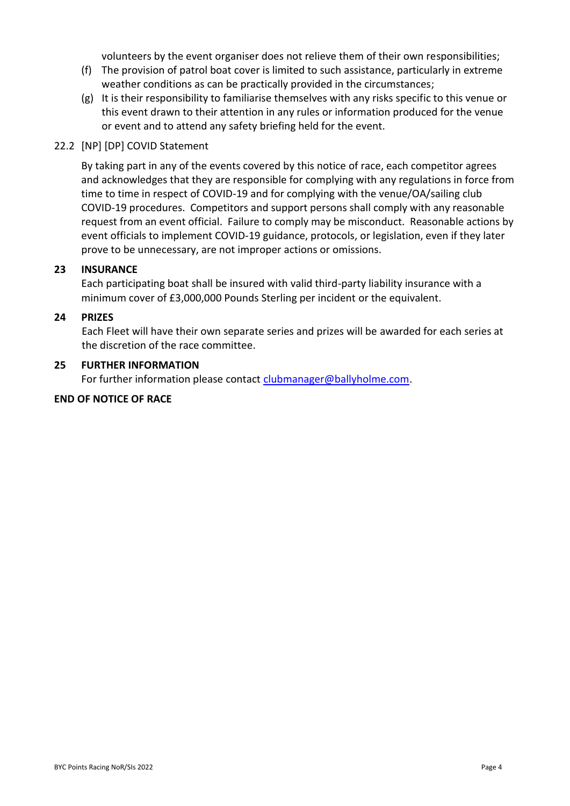volunteers by the event organiser does not relieve them of their own responsibilities;

- (f) The provision of patrol boat cover is limited to such assistance, particularly in extreme weather conditions as can be practically provided in the circumstances;
- (g) It is their responsibility to familiarise themselves with any risks specific to this venue or this event drawn to their attention in any rules or information produced for the venue or event and to attend any safety briefing held for the event.

## 22.2 [NP] [DP] COVID Statement

By taking part in any of the events covered by this notice of race, each competitor agrees and acknowledges that they are responsible for complying with any regulations in force from time to time in respect of COVID-19 and for complying with the venue/OA/sailing club COVID-19 procedures. Competitors and support persons shall comply with any reasonable request from an event official. Failure to comply may be misconduct. Reasonable actions by event officials to implement COVID-19 guidance, protocols, or legislation, even if they later prove to be unnecessary, are not improper actions or omissions.

## **23 INSURANCE**

Each participating boat shall be insured with valid third-party liability insurance with a minimum cover of £3,000,000 Pounds Sterling per incident or the equivalent.

#### **24 PRIZES**

Each Fleet will have their own separate series and prizes will be awarded for each series at the discretion of the race committee.

#### **25 FURTHER INFORMATION**

For further information please contact *[clubmanager@ballyholme.com.](mailto:clubmanager@ballyholme.com)* 

#### **END OF NOTICE OF RACE**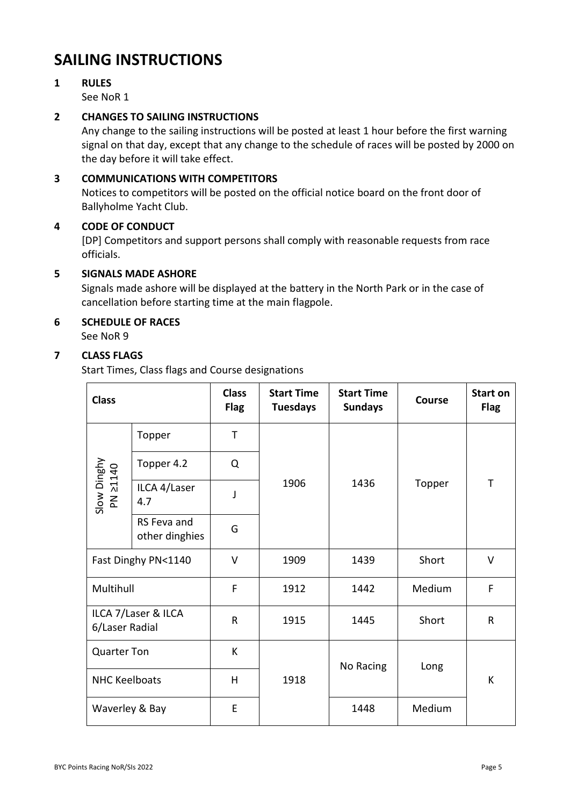## **SAILING INSTRUCTIONS**

## **1 RULES**

See NoR 1

## **2 CHANGES TO SAILING INSTRUCTIONS**

Any change to the sailing instructions will be posted at least 1 hour before the first warning signal on that day, except that any change to the schedule of races will be posted by 2000 on the day before it will take effect.

## **3 COMMUNICATIONS WITH COMPETITORS**

Notices to competitors will be posted on the official notice board on the front door of Ballyholme Yacht Club.

## **4 CODE OF CONDUCT**

[DP] Competitors and support persons shall comply with reasonable requests from race officials.

## **5 SIGNALS MADE ASHORE**

Signals made ashore will be displayed at the battery in the North Park or in the case of cancellation before starting time at the main flagpole.

## **6 SCHEDULE OF RACES**

See NoR 9

## **7 CLASS FLAGS**

Start Times, Class flags and Course designations

| <b>Class</b>                          |                               | <b>Class</b><br><b>Flag</b> | <b>Start Time</b><br><b>Tuesdays</b> | <b>Start Time</b><br><b>Sundays</b> | Course | <b>Start on</b><br><b>Flag</b> |
|---------------------------------------|-------------------------------|-----------------------------|--------------------------------------|-------------------------------------|--------|--------------------------------|
|                                       | Topper                        | T                           |                                      |                                     | Topper | T                              |
| Slow Dinghy<br>PN 21140               | Topper 4.2                    | Q                           |                                      | 1436                                |        |                                |
|                                       | ILCA 4/Laser<br>4.7           | J                           | 1906                                 |                                     |        |                                |
|                                       | RS Feva and<br>other dinghies | G                           |                                      |                                     |        |                                |
| Fast Dinghy PN<1140                   |                               | $\vee$                      | 1909                                 | 1439                                | Short  | $\vee$                         |
| Multihull                             |                               | F                           | 1912                                 | Medium<br>1442                      |        | F                              |
| ILCA 7/Laser & ILCA<br>6/Laser Radial |                               | $\mathsf{R}$                | 1915                                 | 1445                                | Short  | $\mathsf{R}$                   |
| <b>Quarter Ton</b>                    |                               | К                           |                                      | No Racing                           | Long   |                                |
| <b>NHC Keelboats</b>                  |                               | H                           | 1918                                 |                                     |        | K                              |
| Waverley & Bay                        |                               | E                           |                                      | 1448                                | Medium |                                |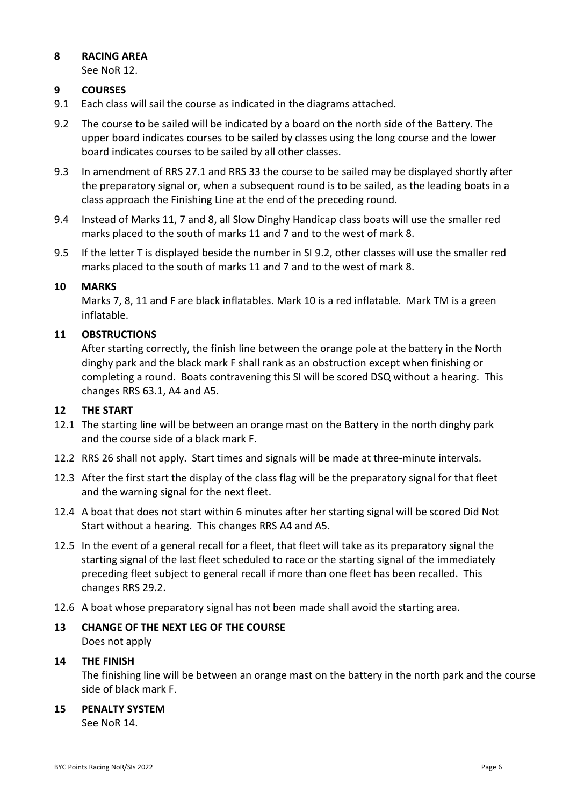## **8 RACING AREA**

See NoR 12.

## **9 COURSES**

- 9.1 Each class will sail the course as indicated in the diagrams attached.
- 9.2 The course to be sailed will be indicated by a board on the north side of the Battery. The upper board indicates courses to be sailed by classes using the long course and the lower board indicates courses to be sailed by all other classes.
- 9.3 In amendment of RRS 27.1 and RRS 33 the course to be sailed may be displayed shortly after the preparatory signal or, when a subsequent round is to be sailed, as the leading boats in a class approach the Finishing Line at the end of the preceding round.
- 9.4 Instead of Marks 11, 7 and 8, all Slow Dinghy Handicap class boats will use the smaller red marks placed to the south of marks 11 and 7 and to the west of mark 8.
- 9.5 If the letter T is displayed beside the number in SI 9.2, other classes will use the smaller red marks placed to the south of marks 11 and 7 and to the west of mark 8.

## **10 MARKS**

Marks 7, 8, 11 and F are black inflatables. Mark 10 is a red inflatable. Mark TM is a green inflatable.

## **11 OBSTRUCTIONS**

After starting correctly, the finish line between the orange pole at the battery in the North dinghy park and the black mark F shall rank as an obstruction except when finishing or completing a round. Boats contravening this SI will be scored DSQ without a hearing. This changes RRS 63.1, A4 and A5.

#### **12 THE START**

- 12.1 The starting line will be between an orange mast on the Battery in the north dinghy park and the course side of a black mark F.
- 12.2 RRS 26 shall not apply. Start times and signals will be made at three-minute intervals.
- 12.3 After the first start the display of the class flag will be the preparatory signal for that fleet and the warning signal for the next fleet.
- 12.4 A boat that does not start within 6 minutes after her starting signal will be scored Did Not Start without a hearing. This changes RRS A4 and A5.
- 12.5 In the event of a general recall for a fleet, that fleet will take as its preparatory signal the starting signal of the last fleet scheduled to race or the starting signal of the immediately preceding fleet subject to general recall if more than one fleet has been recalled. This changes RRS 29.2.
- 12.6 A boat whose preparatory signal has not been made shall avoid the starting area.
- **13 CHANGE OF THE NEXT LEG OF THE COURSE** Does not apply

#### **14 THE FINISH**

The finishing line will be between an orange mast on the battery in the north park and the course side of black mark F.

## **15 PENALTY SYSTEM**

See NoR 14.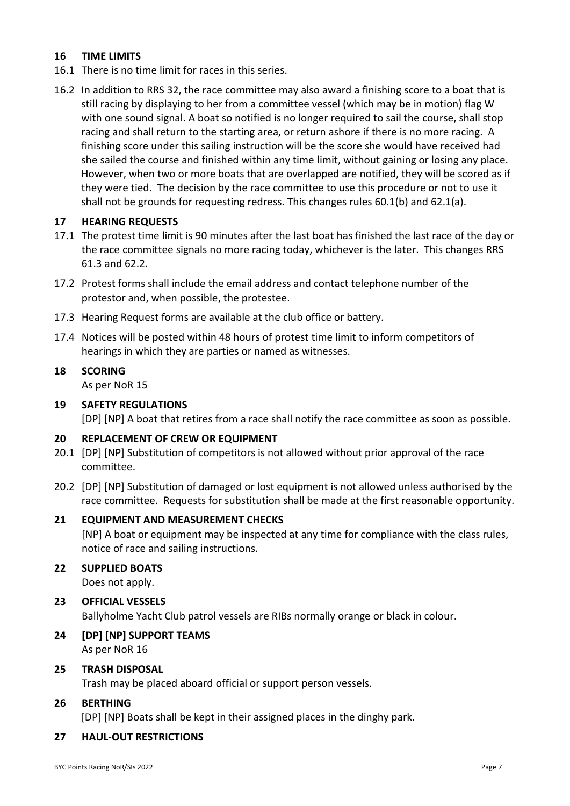## **16 TIME LIMITS**

- 16.1 There is no time limit for races in this series.
- 16.2 In addition to RRS 32, the race committee may also award a finishing score to a boat that is still racing by displaying to her from a committee vessel (which may be in motion) flag W with one sound signal. A boat so notified is no longer required to sail the course, shall stop racing and shall return to the starting area, or return ashore if there is no more racing. A finishing score under this sailing instruction will be the score she would have received had she sailed the course and finished within any time limit, without gaining or losing any place. However, when two or more boats that are overlapped are notified, they will be scored as if they were tied. The decision by the race committee to use this procedure or not to use it shall not be grounds for requesting redress. This changes rules 60.1(b) and 62.1(a).

#### **17 HEARING REQUESTS**

- 17.1 The protest time limit is 90 minutes after the last boat has finished the last race of the day or the race committee signals no more racing today, whichever is the later. This changes RRS 61.3 and 62.2.
- 17.2 Protest forms shall include the email address and contact telephone number of the protestor and, when possible, the protestee.
- 17.3 Hearing Request forms are available at the club office or battery.
- 17.4 Notices will be posted within 48 hours of protest time limit to inform competitors of hearings in which they are parties or named as witnesses.

## **18 SCORING**

As per NoR 15

#### **19 SAFETY REGULATIONS**

[DP] [NP] A boat that retires from a race shall notify the race committee as soon as possible.

## **20 REPLACEMENT OF CREW OR EQUIPMENT**

- 20.1 [DP] [NP] Substitution of competitors is not allowed without prior approval of the race committee.
- 20.2 [DP] [NP] Substitution of damaged or lost equipment is not allowed unless authorised by the race committee. Requests for substitution shall be made at the first reasonable opportunity.

#### **21 EQUIPMENT AND MEASUREMENT CHECKS**

[NP] A boat or equipment may be inspected at any time for compliance with the class rules, notice of race and sailing instructions.

## **22 SUPPLIED BOATS**

Does not apply.

#### **23 OFFICIAL VESSELS**

Ballyholme Yacht Club patrol vessels are RIBs normally orange or black in colour.

#### **24 [DP] [NP] SUPPORT TEAMS** As per NoR 16

## **25 TRASH DISPOSAL**

Trash may be placed aboard official or support person vessels.

## **26 BERTHING**

[DP] [NP] Boats shall be kept in their assigned places in the dinghy park.

#### **27 HAUL-OUT RESTRICTIONS**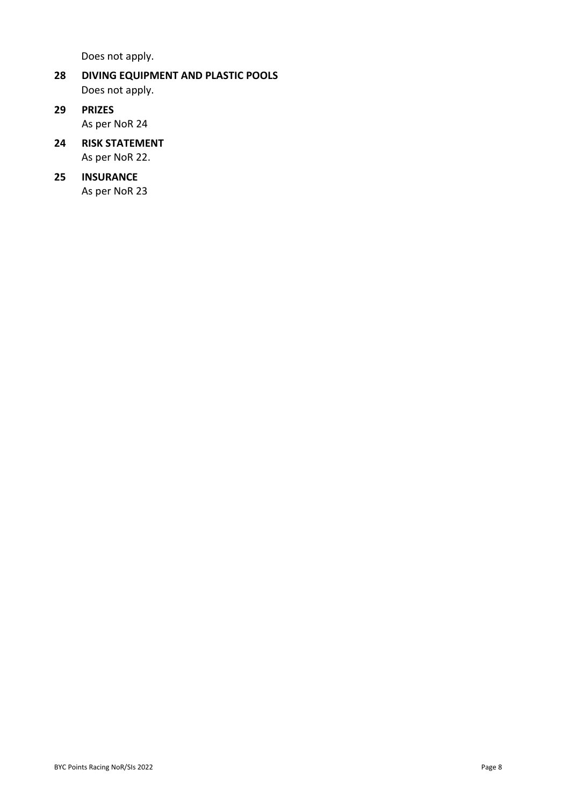Does not apply.

- **28 DIVING EQUIPMENT AND PLASTIC POOLS** Does not apply.
- **29 PRIZES** As per NoR 24
- **24 RISK STATEMENT** As per NoR 22.
- **25 INSURANCE** As per NoR 23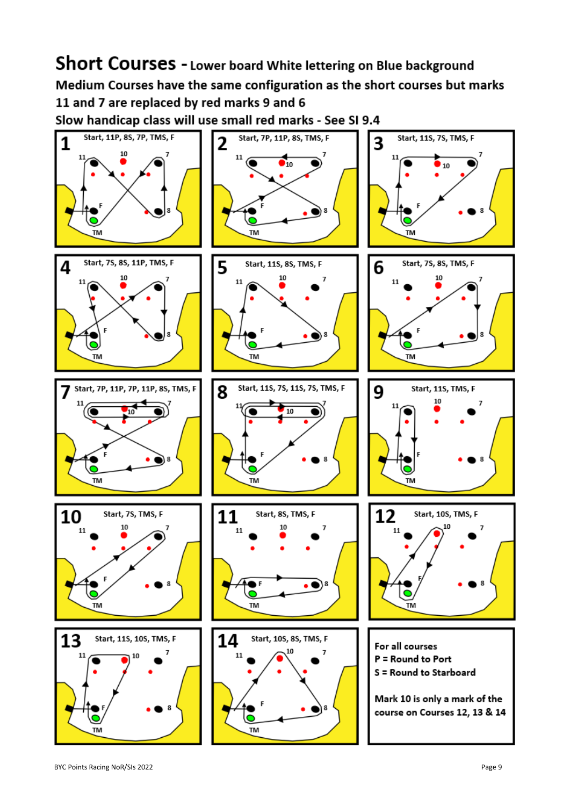Short Courses - Lower board White lettering on Blue background Medium Courses have the same configuration as the short courses but marks 11 and 7 are replaced by red marks 9 and 6 Slow handicap class will use small red marks - See SI 9.4

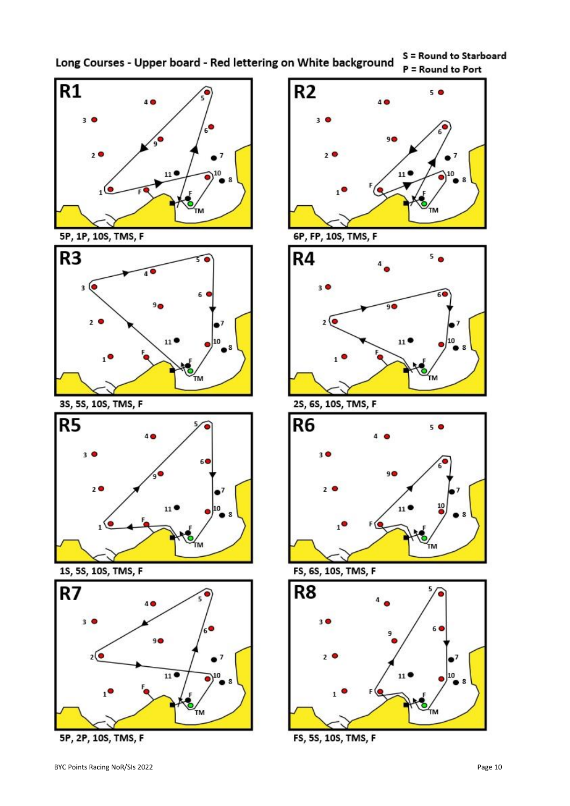S = Round to Starboard Long Courses - Upper board - Red lettering on White background



5P, 1P, 10S, TMS, F



3S, 5S, 10S, TMS, F



1S, 5S, 10S, TMS, F



5P, 2P, 10S, TMS, F





2S, 6S, 10S, TMS, F



FS, 6S, 10S, TMS, F



FS, 5S, 10S, TMS, F